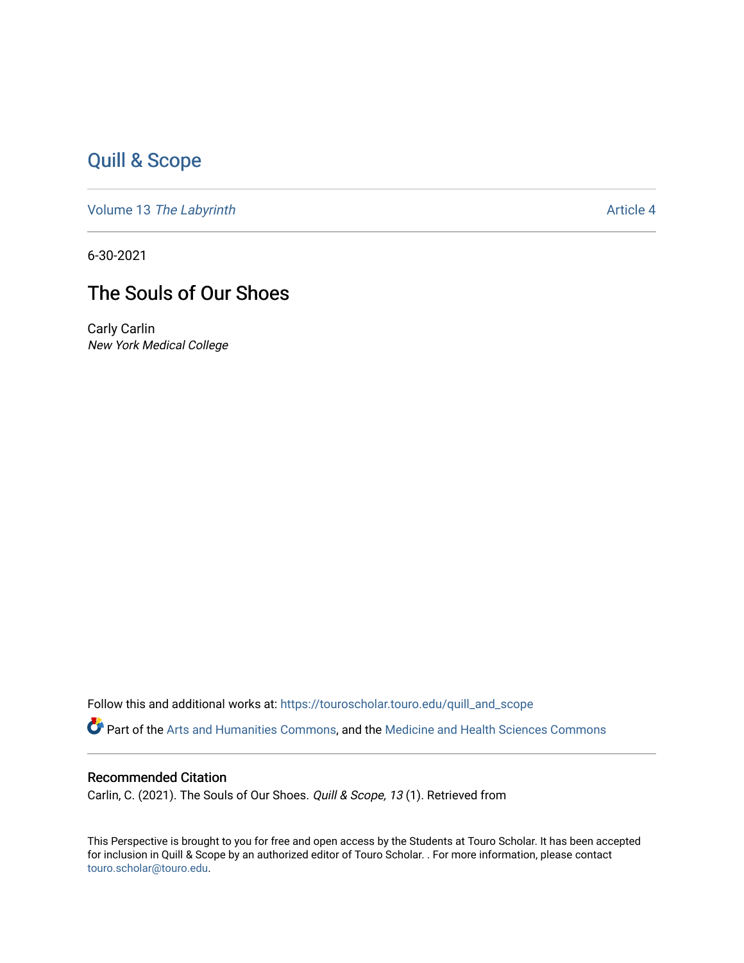## [Quill & Scope](https://touroscholar.touro.edu/quill_and_scope)

Volume 13 [The Labyrinth](https://touroscholar.touro.edu/quill_and_scope/vol13) Article 4

6-30-2021

## The Souls of Our Shoes

Carly Carlin New York Medical College

Follow this and additional works at: [https://touroscholar.touro.edu/quill\\_and\\_scope](https://touroscholar.touro.edu/quill_and_scope?utm_source=touroscholar.touro.edu%2Fquill_and_scope%2Fvol13%2Fiss1%2F4&utm_medium=PDF&utm_campaign=PDFCoverPages) Part of the [Arts and Humanities Commons,](http://network.bepress.com/hgg/discipline/438?utm_source=touroscholar.touro.edu%2Fquill_and_scope%2Fvol13%2Fiss1%2F4&utm_medium=PDF&utm_campaign=PDFCoverPages) and the [Medicine and Health Sciences Commons](http://network.bepress.com/hgg/discipline/648?utm_source=touroscholar.touro.edu%2Fquill_and_scope%2Fvol13%2Fiss1%2F4&utm_medium=PDF&utm_campaign=PDFCoverPages)

## Recommended Citation

Carlin, C. (2021). The Souls of Our Shoes. Quill & Scope, 13 (1). Retrieved from

This Perspective is brought to you for free and open access by the Students at Touro Scholar. It has been accepted for inclusion in Quill & Scope by an authorized editor of Touro Scholar. . For more information, please contact [touro.scholar@touro.edu](mailto:touro.scholar@touro.edu).